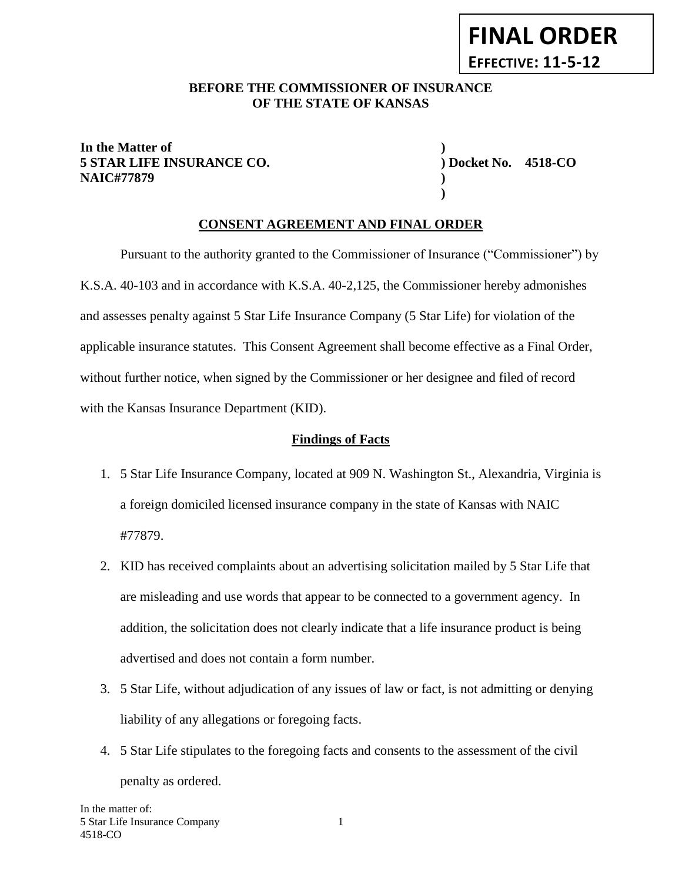## BEFORE THE COMMISSIONER OF INSURANCE **OF THE STATE OF KANSAS**

## **In the Matter of ) 5 STAR LIFE INSURANCE CO. ) Docket No. 4518-CO NAIC#77879 )**

**)**

# **CONSENT AGREEMENT AND FINAL ORDER**

Pursuant to the authority granted to the Commissioner of Insurance ("Commissioner") by K.S.A. 40-103 and in accordance with K.S.A. 40-2,125, the Commissioner hereby admonishes and assesses penalty against 5 Star Life Insurance Company (5 Star Life) for violation of the applicable insurance statutes. This Consent Agreement shall become effective as a Final Order, without further notice, when signed by the Commissioner or her designee and filed of record with the Kansas Insurance Department (KID).

### **Findings of Facts**

- 1. 5 Star Life Insurance Company, located at 909 N. Washington St., Alexandria, Virginia is a foreign domiciled licensed insurance company in the state of Kansas with NAIC #77879.
- 2. KID has received complaints about an advertising solicitation mailed by 5 Star Life that are misleading and use words that appear to be connected to a government agency. In addition, the solicitation does not clearly indicate that a life insurance product is being advertised and does not contain a form number.
- 3. 5 Star Life, without adjudication of any issues of law or fact, is not admitting or denying liability of any allegations or foregoing facts.
- 4. 5 Star Life stipulates to the foregoing facts and consents to the assessment of the civil penalty as ordered.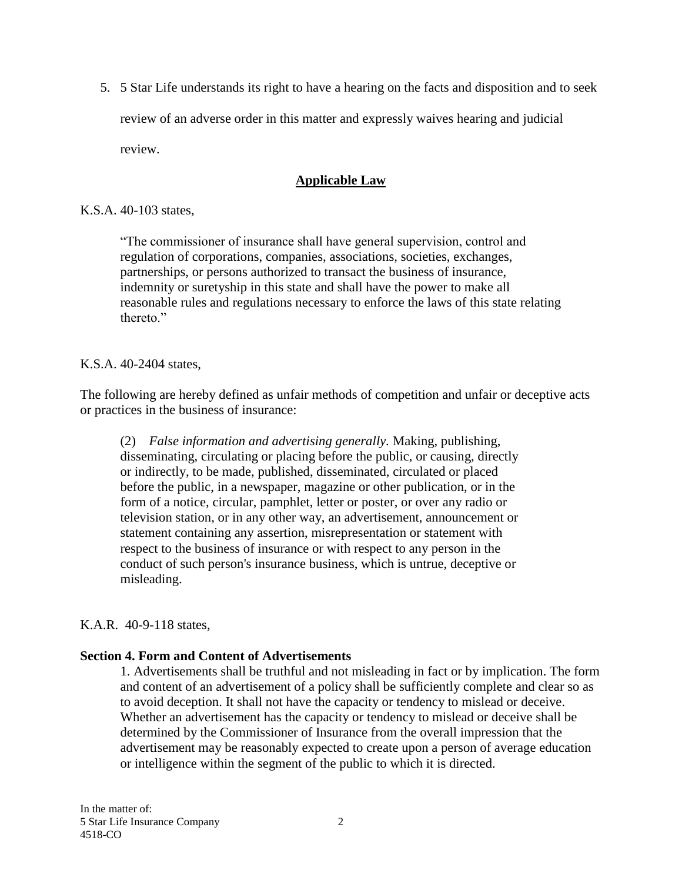5. 5 Star Life understands its right to have a hearing on the facts and disposition and to seek review of an adverse order in this matter and expressly waives hearing and judicial review.

## **Applicable Law**

#### K.S.A. 40-103 states,

"The commissioner of insurance shall have general supervision, control and regulation of corporations, companies, associations, societies, exchanges, partnerships, or persons authorized to transact the business of insurance, indemnity or suretyship in this state and shall have the power to make all reasonable rules and regulations necessary to enforce the laws of this state relating thereto<sup>"</sup>

#### K.S.A. 40-2404 states,

The following are hereby defined as unfair methods of competition and unfair or deceptive acts or practices in the business of insurance:

(2) *False information and advertising generally.* Making, publishing, disseminating, circulating or placing before the public, or causing, directly or indirectly, to be made, published, disseminated, circulated or placed before the public, in a newspaper, magazine or other publication, or in the form of a notice, circular, pamphlet, letter or poster, or over any radio or television station, or in any other way, an advertisement, announcement or statement containing any assertion, misrepresentation or statement with respect to the business of insurance or with respect to any person in the conduct of such person's insurance business, which is untrue, deceptive or misleading.

#### K.A.R. 40-9-118 states,

#### **Section 4. Form and Content of Advertisements**

1. Advertisements shall be truthful and not misleading in fact or by implication. The form and content of an advertisement of a policy shall be sufficiently complete and clear so as to avoid deception. It shall not have the capacity or tendency to mislead or deceive. Whether an advertisement has the capacity or tendency to mislead or deceive shall be determined by the Commissioner of Insurance from the overall impression that the advertisement may be reasonably expected to create upon a person of average education or intelligence within the segment of the public to which it is directed.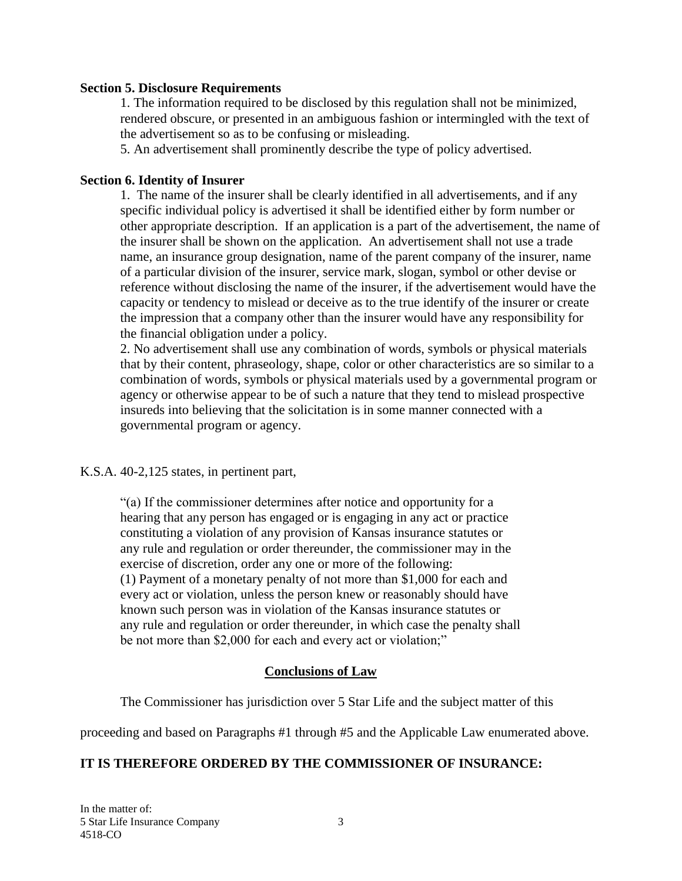#### **Section 5. Disclosure Requirements**

1. The information required to be disclosed by this regulation shall not be minimized, rendered obscure, or presented in an ambiguous fashion or intermingled with the text of the advertisement so as to be confusing or misleading.

5. An advertisement shall prominently describe the type of policy advertised.

#### **Section 6. Identity of Insurer**

1. The name of the insurer shall be clearly identified in all advertisements, and if any specific individual policy is advertised it shall be identified either by form number or other appropriate description. If an application is a part of the advertisement, the name of the insurer shall be shown on the application. An advertisement shall not use a trade name, an insurance group designation, name of the parent company of the insurer, name of a particular division of the insurer, service mark, slogan, symbol or other devise or reference without disclosing the name of the insurer, if the advertisement would have the capacity or tendency to mislead or deceive as to the true identify of the insurer or create the impression that a company other than the insurer would have any responsibility for the financial obligation under a policy.

2. No advertisement shall use any combination of words, symbols or physical materials that by their content, phraseology, shape, color or other characteristics are so similar to a combination of words, symbols or physical materials used by a governmental program or agency or otherwise appear to be of such a nature that they tend to mislead prospective insureds into believing that the solicitation is in some manner connected with a governmental program or agency.

K.S.A. 40-2,125 states, in pertinent part,

"(a) If the commissioner determines after notice and opportunity for a hearing that any person has engaged or is engaging in any act or practice constituting a violation of any provision of Kansas insurance statutes or any rule and regulation or order thereunder, the commissioner may in the exercise of discretion, order any one or more of the following: (1) Payment of a monetary penalty of not more than \$1,000 for each and every act or violation, unless the person knew or reasonably should have known such person was in violation of the Kansas insurance statutes or any rule and regulation or order thereunder, in which case the penalty shall be not more than \$2,000 for each and every act or violation;"

## **Conclusions of Law**

The Commissioner has jurisdiction over 5 Star Life and the subject matter of this

proceeding and based on Paragraphs #1 through #5 and the Applicable Law enumerated above.

# **IT IS THEREFORE ORDERED BY THE COMMISSIONER OF INSURANCE:**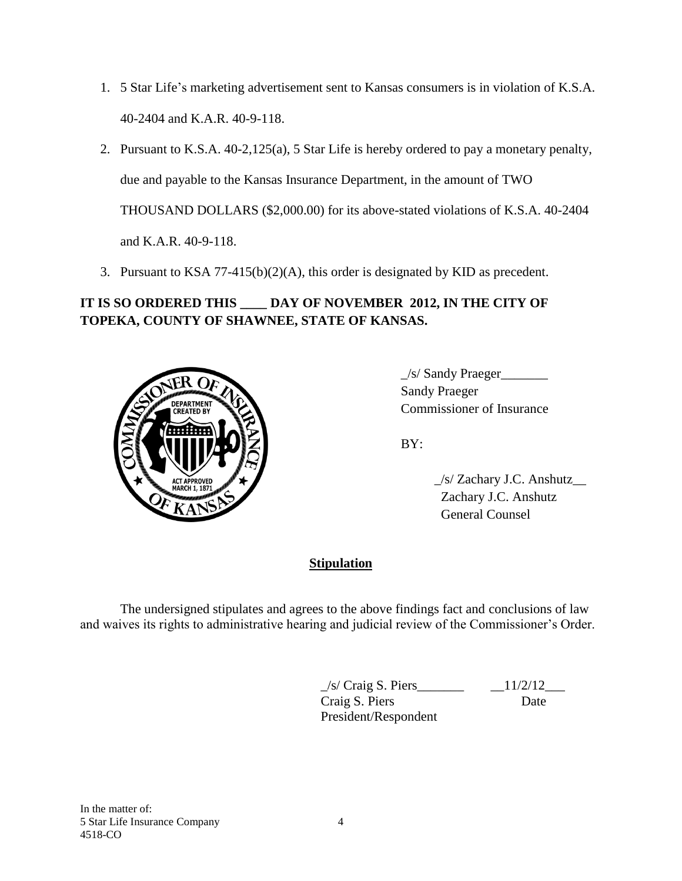- 1. 5 Star Life's marketing advertisement sent to Kansas consumers is in violation of K.S.A. 40-2404 and K.A.R. 40-9-118.
- 2. Pursuant to K.S.A. 40-2,125(a), 5 Star Life is hereby ordered to pay a monetary penalty, due and payable to the Kansas Insurance Department, in the amount of TWO THOUSAND DOLLARS (\$2,000.00) for its above-stated violations of K.S.A. 40-2404 and K.A.R. 40-9-118.
- 3. Pursuant to KSA 77-415(b)(2)(A), this order is designated by KID as precedent.

# **IT IS SO ORDERED THIS \_\_\_\_ DAY OF NOVEMBER 2012, IN THE CITY OF TOPEKA, COUNTY OF SHAWNEE, STATE OF KANSAS.**



 $\angle$ s/ Sandy Praeger $\angle$ Sandy Praeger Commissioner of Insurance

BY:

 \_/s/ Zachary J.C. Anshutz\_\_ Zachary J.C. Anshutz General Counsel

# **Stipulation**

The undersigned stipulates and agrees to the above findings fact and conclusions of law and waives its rights to administrative hearing and judicial review of the Commissioner's Order.

> $\angle$ s/ Craig S. Piers $\angle$   $\angle$  11/2/12 $\angle$ Craig S. Piers Date President/Respondent